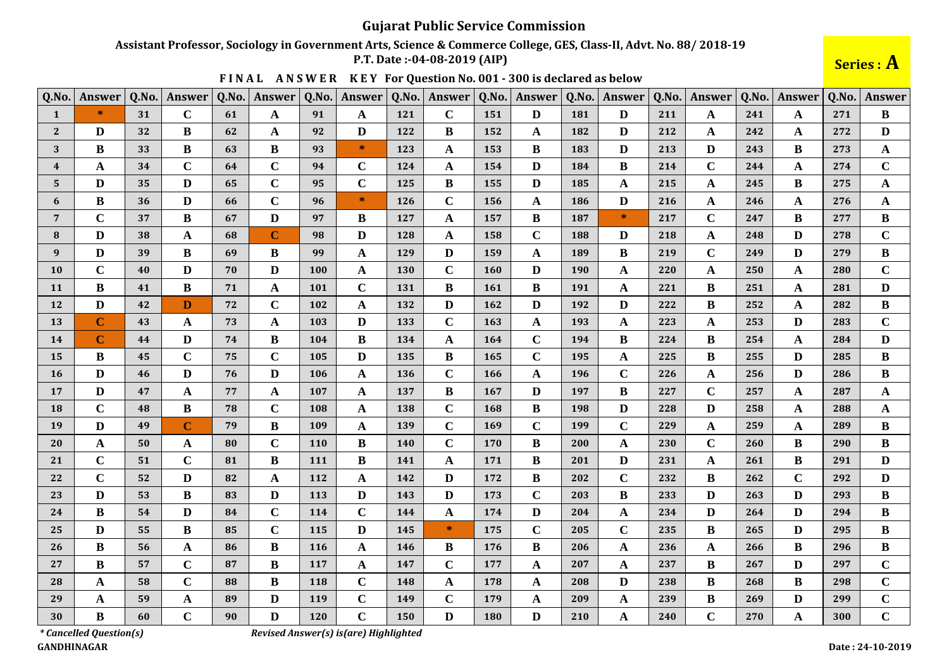## Assistant Professor, Sociology in Government Arts, Science & Commerce College, GES, Class-II, Advt. No. 88/2018-19

P.T. Date: -04-08-2019 (AIP)

Series : A

| Q.No.          | <b>Answer</b> | Q.No. | Answer      | Q.No. | Answer       | Q.No. | Answer       | Q.No. | <b>Answer</b> | Q.No.      | <b>Answer</b> | Q.No. | Answer       | Q.No. | Answer      | Q.No. | Answer       | Q.No. | <b>Answer</b> |
|----------------|---------------|-------|-------------|-------|--------------|-------|--------------|-------|---------------|------------|---------------|-------|--------------|-------|-------------|-------|--------------|-------|---------------|
| 1              | $\ast$        | 31    | $\mathbf C$ | 61    | A            | 91    | A            | 121   | $\mathbf C$   | 151        | D             | 181   | D            | 211   | A           | 241   | A            | 271   | В             |
| $\mathbf{2}$   | D             | 32    | B           | 62    | $\mathbf A$  | 92    | $\mathbf{D}$ | 122   | B             | 152        | $\mathbf A$   | 182   | $\mathbf D$  | 212   | A           | 242   | A            | 272   | $\mathbf D$   |
| 3              | B             | 33    | B           | 63    | B            | 93    | $\ast$       | 123   | A             | 153        | B             | 183   | D            | 213   | D           | 243   | B            | 273   | $\mathbf A$   |
| 4              | A             | 34    | $\mathbf C$ | 64    | $\mathbf C$  | 94    | $\mathbf C$  | 124   | A             | 154        | D             | 184   | $\bf{B}$     | 214   | $\mathbf C$ | 244   | A            | 274   | $\mathbf C$   |
| 5              | D             | 35    | D           | 65    | $\mathbf C$  | 95    | $\mathbf C$  | 125   | B             | 155        | D             | 185   | A            | 215   | A           | 245   | B            | 275   | $\mathbf{A}$  |
| 6              | B             | 36    | D           | 66    | $\mathbf C$  | 96    | $*$          | 126   | $\mathbf C$   | 156        | A             | 186   | D            | 216   | A           | 246   | A            | 276   | $\mathbf{A}$  |
| $\overline{7}$ | $\mathbf C$   | 37    | B           | 67    | $\mathbf{D}$ | 97    | B            | 127   | $\mathbf{A}$  | 157        | B             | 187   | $\ast$       | 217   | $\mathbf C$ | 247   | B            | 277   | B             |
| 8              | D             | 38    | A           | 68    | $\mathbf C$  | 98    | D            | 128   | $\mathbf{A}$  | 158        | $\mathbf C$   | 188   | D            | 218   | $\mathbf A$ | 248   | D            | 278   | $\mathbf C$   |
| 9              | D             | 39    | B           | 69    | B            | 99    | A            | 129   | D             | 159        | A             | 189   | B            | 219   | $\mathbf C$ | 249   | D            | 279   | B             |
| <b>10</b>      | $\mathbf C$   | 40    | D           | 70    | $\mathbf{D}$ | 100   | A            | 130   | $\mathbf C$   | <b>160</b> | D             | 190   | A            | 220   | A           | 250   | A            | 280   | $\mathbf C$   |
| <b>11</b>      | $\bf{B}$      | 41    | B           | 71    | $\mathbf A$  | 101   | $\mathbf C$  | 131   | B             | <b>161</b> | B             | 191   | A            | 221   | B           | 251   | A            | 281   | D             |
| 12             | D             | 42    | D           | 72    | $\mathbf C$  | 102   | $\mathbf{A}$ | 132   | D             | 162        | D             | 192   | D            | 222   | B           | 252   | A            | 282   | B             |
| 13             | $\mathbf C$   | 43    | A           | 73    | $\mathbf{A}$ | 103   | $\mathbf{D}$ | 133   | $\mathbf C$   | 163        | $\mathbf A$   | 193   | A            | 223   | A           | 253   | D            | 283   | $\mathbf C$   |
| 14             | $\mathbf C$   | 44    | D           | 74    | B            | 104   | $\bf{B}$     | 134   | A             | <b>164</b> | $\mathbf C$   | 194   | B            | 224   | B           | 254   | A            | 284   | $\mathbf{D}$  |
| 15             | B             | 45    | $\mathbf C$ | 75    | $\mathbf C$  | 105   | D            | 135   | B             | 165        | $\mathbf C$   | 195   | A            | 225   | B           | 255   | D            | 285   | B             |
| <b>16</b>      | $\bf{D}$      | 46    | D           | 76    | $\mathbf{D}$ | 106   | A            | 136   | $\mathbf C$   | 166        | $\mathbf A$   | 196   | $\mathbf C$  | 226   | A           | 256   | D            | 286   | $\bf{B}$      |
| 17             | D             | 47    | A           | 77    | $\mathbf{A}$ | 107   | $\mathbf{A}$ | 137   | $\bf{B}$      | 167        | $\mathbf{D}$  | 197   | $\bf{B}$     | 227   | $\mathbf C$ | 257   | A            | 287   | $\mathbf A$   |
| <b>18</b>      | $\mathbf C$   | 48    | B           | 78    | $\mathbf C$  | 108   | A            | 138   | $\mathbf C$   | 168        | B             | 198   | D            | 228   | D           | 258   | A            | 288   | $\mathbf A$   |
| 19             | D             | 49    | $\mathbf C$ | 79    | $\, {\bf B}$ | 109   | A            | 139   | $\mathbf C$   | <b>169</b> | $\mathbf C$   | 199   | $\mathbf C$  | 229   | A           | 259   | A            | 289   | $\bf{B}$      |
| 20             | $\mathbf A$   | 50    | A           | 80    | $\mathbf C$  | 110   | B            | 140   | $\mathbf C$   | 170        | B             | 200   | A            | 230   | $\mathbf C$ | 260   | B            | 290   | B             |
| 21             | $\mathbf C$   | 51    | $\mathbf C$ | 81    | $\, {\bf B}$ | 111   | B            | 141   | $\mathbf{A}$  | 171        | $\bf{B}$      | 201   | D            | 231   | $\mathbf A$ | 261   | B            | 291   | D             |
| 22             | $\mathbf C$   | 52    | D           | 82    | $\mathbf{A}$ | 112   | A            | 142   | D             | 172        | B             | 202   | $\mathbf C$  | 232   | B           | 262   | $\mathbf C$  | 292   | D             |
| 23             | D             | 53    | B           | 83    | D            | 113   | D            | 143   | D             | 173        | $\mathbf C$   | 203   | B            | 233   | D           | 263   | D            | 293   | $\bf{B}$      |
| 24             | B             | 54    | D           | 84    | $\mathbf C$  | 114   | $\mathbf C$  | 144   | A             | 174        | D             | 204   | A            | 234   | D           | 264   | D            | 294   | B             |
| 25             | D             | 55    | B           | 85    | $\mathbf C$  | 115   | D            | 145   | $\ast$        | 175        | $\mathbf C$   | 205   | $\mathbf C$  | 235   | B           | 265   | D            | 295   | B             |
| 26             | B             | 56    | A           | 86    | B            | 116   | A            | 146   | $\bf{B}$      | 176        | $\bf{B}$      | 206   | A            | 236   | A           | 266   | B            | 296   | B             |
| 27             | B             | 57    | $\mathbf C$ | 87    | $\bf{B}$     | 117   | A            | 147   | $\mathbf C$   | 177        | A             | 207   | A            | 237   | B           | 267   | D            | 297   | $\mathbf C$   |
| 28             | A             | 58    | $\mathbf C$ | 88    | $\bf{B}$     | 118   | $\bf C$      | 148   | A             | 178        | A             | 208   | D            | 238   | B           | 268   | B            | 298   | $\mathbf C$   |
| 29             | A             | 59    | A           | 89    | $\mathbf{D}$ | 119   | $\mathbf C$  | 149   | $\mathbf C$   | 179        | A             | 209   | $\mathbf{A}$ | 239   | B           | 269   | D            | 299   | $\mathbf C$   |
| 30             | $\bf{B}$      | 60    | $\mathbf C$ | 90    | D            | 120   | $\mathbf C$  | 150   | D             | 180        | D             | 210   | A            | 240   | $\mathbf C$ | 270   | $\mathbf{A}$ | 300   | $\mathbf C$   |

FINAL ANSWER KEY For Question No. 001 - 300 is declared as below

 $*$  Cancelled Question(s) **GANDHINAGAR** 

Revised Answer(s) is(are) Highlighted

Date: 24-10-2019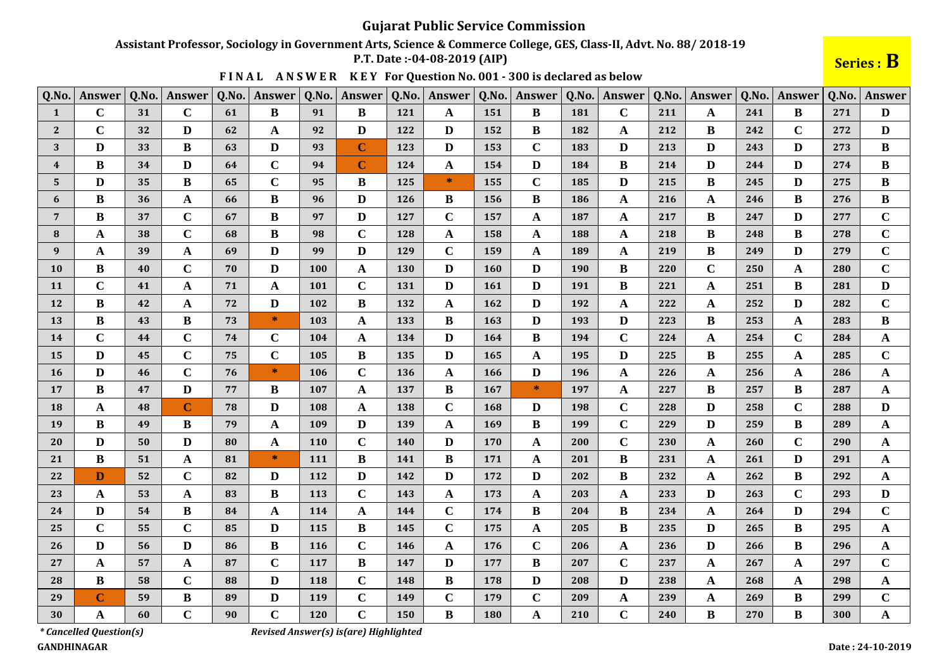Assistant Professor, Sociology in Government Arts, Science & Commerce College, GES, Class-II, Advt. No. 88/2018-19

P.T. Date: -04-08-2019 (AIP)

Series : B

 $\mathbf C$ 

 $\mathbf{A}$ 

299

300

| Q.No.          | Answer      | Q.No. | Answer      | Q.No. | <b>Answer</b> | Q.No.      | Answer      | Q.No.      | <b>Answer</b> | Q.No.      | Answer       | Q.No. | <b>Answer</b> | Q.No. | Answer      | Q.No. | <b>Answer</b> | Q.No. | Answer      |
|----------------|-------------|-------|-------------|-------|---------------|------------|-------------|------------|---------------|------------|--------------|-------|---------------|-------|-------------|-------|---------------|-------|-------------|
| 1              | $\mathbf C$ | 31    | $\mathbf C$ | 61    | B             | 91         | B           | 121        | A             | 151        | B            | 181   | $\mathbf C$   | 211   | A           | 241   | B             | 271   | D           |
| $\overline{2}$ | $\mathbf C$ | 32    | D           | 62    | A             | 92         | D           | 122        | D             | 152        | B            | 182   | A             | 212   | B           | 242   | $\mathbf C$   | 272   | D           |
| 3              | D           | 33    | B           | 63    | $\mathbf{D}$  | 93         | $\mathbf C$ | <b>123</b> | D             | 153        | $\mathbf C$  | 183   | D             | 213   | D           | 243   | $\bf{D}$      | 273   | B           |
| $\overline{4}$ | B           | 34    | D           | 64    | $\mathbf C$   | 94         | C           | 124        | A             | 154        | D            | 184   | $\bf{B}$      | 214   | D           | 244   | D             | 274   | B           |
| 5              | D           | 35    | B           | 65    | $\mathbf C$   | 95         | B           | 125        | $\ast$        | 155        | $\mathbf C$  | 185   | D             | 215   | B           | 245   | D             | 275   | B           |
| 6              | B           | 36    | $\mathbf A$ | 66    | $\bf{B}$      | 96         | D           | <b>126</b> | B             | 156        | B            | 186   | $\mathbf A$   | 216   | A           | 246   | B             | 276   | B           |
| $\overline{7}$ | B           | 37    | $\mathbf C$ | 67    | B             | 97         | D           | 127        | $\mathbf C$   | 157        | A            | 187   | $\mathbf{A}$  | 217   | B           | 247   | $\bf{D}$      | 277   | $\mathbf C$ |
| 8              | A           | 38    | $\mathbf C$ | 68    | B             | 98         | $\mathbf C$ | 128        | A             | 158        | $\mathbf{A}$ | 188   | A             | 218   | B           | 248   | B             | 278   | $\mathbf C$ |
| 9              | A           | 39    | A           | 69    | $\mathbf{D}$  | 99         | D           | 129        | $\mathbf C$   | 159        | A            | 189   | $\mathbf A$   | 219   | B           | 249   | D             | 279   | $\mathbf C$ |
| <b>10</b>      | B           | 40    | $\mathbf C$ | 70    | D             | 100        | A           | 130        | D             | <b>160</b> | D            | 190   | $\bf{B}$      | 220   | $\mathbf C$ | 250   | A             | 280   | $\mathbf C$ |
| <b>11</b>      | $\mathbf C$ | 41    | A           | 71    | A             | 101        | $\mathbf C$ | 131        | D             | <b>161</b> | D            | 191   | $\bf{B}$      | 221   | A           | 251   | B             | 281   | D           |
| 12             | B           | 42    | A           | 72    | D             | 102        | B           | 132        | A             | 162        | D            | 192   | A             | 222   | A           | 252   | D             | 282   | $\mathbf C$ |
| 13             | B           | 43    | B           | 73    | *             | 103        | A           | 133        | B             | 163        | D            | 193   | D             | 223   | B           | 253   | A             | 283   | B           |
| 14             | $\mathbf C$ | 44    | $\mathbf C$ | 74    | $\mathbf C$   | 104        | A           | 134        | D             | 164        | B            | 194   | $\mathbf C$   | 224   | A           | 254   | $\mathbf C$   | 284   | A           |
| 15             | D           | 45    | $\mathbf C$ | 75    | $\mathbf C$   | 105        | B           | 135        | D             | 165        | A            | 195   | $\mathbf{D}$  | 225   | B           | 255   | A             | 285   | $\mathbf C$ |
| <b>16</b>      | D           | 46    | $\mathbf C$ | 76    | $\ast$        | 106        | $\mathbf C$ | 136        | A             | 166        | D            | 196   | $\mathbf{A}$  | 226   | A           | 256   | A             | 286   | $\mathbf A$ |
| 17             | B           | 47    | D           | 77    | $\bf{B}$      | 107        | A           | 137        | B             | 167        | $\ast$       | 197   | $\mathbf A$   | 227   | B           | 257   | B             | 287   | $\mathbf A$ |
| 18             | A           | 48    | $\mathbf C$ | 78    | D             | 108        | A           | 138        | $\mathbf C$   | 168        | D            | 198   | $\mathbf C$   | 228   | D           | 258   | $\mathbf C$   | 288   | D           |
| 19             | B           | 49    | $\bf{B}$    | 79    | $\mathbf A$   | 109        | D           | 139        | A             | 169        | B            | 199   | $\mathbf C$   | 229   | D           | 259   | B             | 289   | $\mathbf A$ |
| 20             | D           | 50    | D           | 80    | A             | <b>110</b> | $\mathbf C$ | <b>140</b> | D             | 170        | A            | 200   | $\mathbf C$   | 230   | A           | 260   | $\mathbf C$   | 290   | A           |
| 21             | B           | 51    | A           | 81    | $\ast$        | 111        | B           | 141        | B             | 171        | A            | 201   | $\bf{B}$      | 231   | A           | 261   | D             | 291   | $\mathbf A$ |
| 22             | D           | 52    | $\mathbf C$ | 82    | D             | 112        | D           | 142        | D             | 172        | D            | 202   | B             | 232   | A           | 262   | B             | 292   | A           |
| 23             | A           | 53    | A           | 83    | B             | 113        | $\mathbf C$ | 143        | A             | 173        | A            | 203   | A             | 233   | D           | 263   | $\mathbf C$   | 293   | D           |
| 24             | D           | 54    | B           | 84    | $\mathbf A$   | 114        | A           | 144        | $\mathbf C$   | 174        | B            | 204   | $\bf{B}$      | 234   | A           | 264   | D             | 294   | $\mathbf C$ |
| 25             | $\mathbf C$ | 55    | $\mathbf C$ | 85    | $\mathbf{D}$  | 115        | B           | 145        | $\mathbf C$   | 175        | A            | 205   | $\bf{B}$      | 235   | D           | 265   | $\bf{B}$      | 295   | $\mathbf A$ |
| 26             | D           | 56    | D           | 86    | $\bf{B}$      | 116        | $\mathbf C$ | 146        | A             | 176        | $\mathbf C$  | 206   | $\mathbf{A}$  | 236   | D           | 266   | B             | 296   | $\mathbf A$ |
| 27             | A           | 57    | A           | 87    | $\mathbf C$   | 117        | $\bf{B}$    | 147        | D             | 177        | B            | 207   | $\bf C$       | 237   | A           | 267   | A             | 297   | $\mathbf C$ |
| 28             | B           | 58    | $\mathbf C$ | 88    | D             | 118        | $\mathbf C$ | 148        | B             | 178        | D            | 208   | D             | 238   | A           | 268   | $\mathbf{A}$  | 298   | A           |

 $\mathbf C$ 

 $\bf{B}$ 

179

180

 $\mathbf C$ 

 $\mathbf{A}$ 

209

210

239

240

 $\mathbf{A}$ 

 $\mathbf C$ 

269

270

 $\mathbf{A}$ 

 $\bf{B}$ 

 $\bf{B}$ 

 $\bf{B}$ 

FINAL ANSWER KEY For Question No. 001 - 300 is declared as below

*\** Cancelled Question(s)

 $\mathbf C$ 

 $\mathbf{A}$ 

59

60

 $\bf{B}$ 

 $\mathbf C$ 

89

90

D

 $\mathbf C$ 

Revised Answer(s) is(are) Highlighted

 $\mathbf C$ 

 $\mathbf C$ 

149

150

119

120

**GANDHINAGAR** 

29

30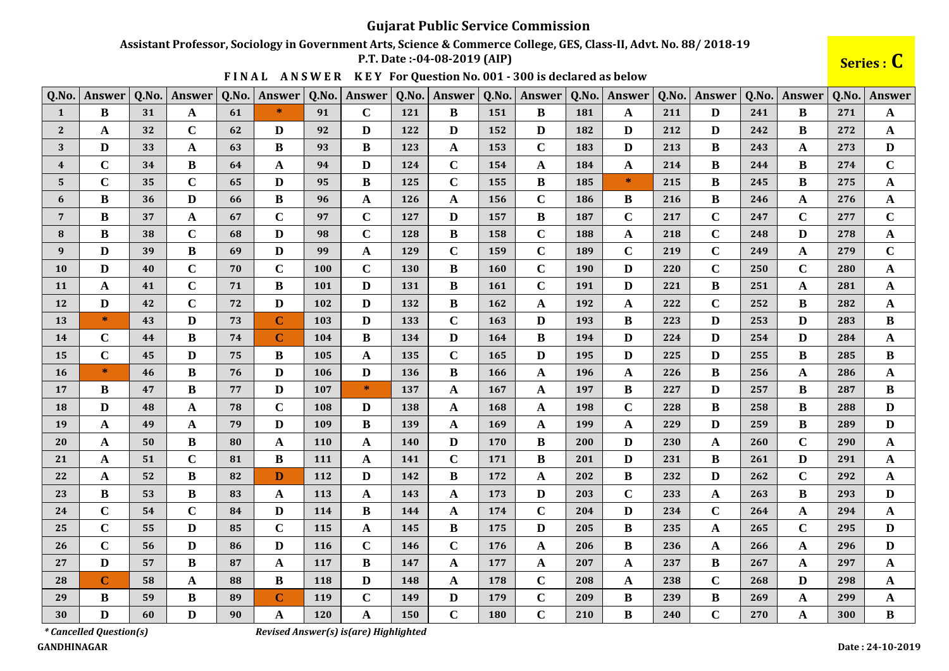#### Assistant Professor, Sociology in Government Arts, Science & Commerce College, GES, Class-II, Advt. No. 88/2018-19

P.T. Date: -04-08-2019 (AIP)

Series : C

|  |  |  | FINAL ANSWER KEY For Question No. 001 - 300 is declared as below |
|--|--|--|------------------------------------------------------------------|
|--|--|--|------------------------------------------------------------------|

| Q.No.                   | Answer       | Q.No. | Answer       | Q.No. | Answer         | Q.No. | Answer       | Q.No.      | Answer       | Q.No.      | Answer       | Q.No. | Answer       | Q.No. | <b>Answer</b> | Q.No. | Answer      | Q.No. | Answer       |
|-------------------------|--------------|-------|--------------|-------|----------------|-------|--------------|------------|--------------|------------|--------------|-------|--------------|-------|---------------|-------|-------------|-------|--------------|
| $\mathbf{1}$            | B            | 31    | A            | 61    | $\ast$         | 91    | $\mathbf C$  | 121        | B            | 151        | B            | 181   | A            | 211   | D             | 241   | B           | 271   | A            |
| $\overline{2}$          | A            | 32    | $\mathbf C$  | 62    | D              | 92    | D            | 122        | D            | 152        | D            | 182   | D            | 212   | D             | 242   | B           | 272   | A            |
| 3                       | $\mathbf{D}$ | 33    | $\mathbf{A}$ | 63    | $\bf{B}$       | 93    | $\bf{B}$     | 123        | $\mathbf{A}$ | 153        | $\mathbf C$  | 183   | $\mathbf{D}$ | 213   | $\bf{B}$      | 243   | A           | 273   | D            |
| $\boldsymbol{4}$        | $\mathbf C$  | 34    | B            | 64    | $\mathbf A$    | 94    | D            | 124        | $\mathbf C$  | 154        | A            | 184   | $\mathbf{A}$ | 214   | B             | 244   | B           | 274   | $\mathbf C$  |
| $\overline{\mathbf{5}}$ | $\mathbf C$  | 35    | $\mathbf C$  | 65    | $\mathbf{D}$   | 95    | $\bf{B}$     | <b>125</b> | $\mathbf C$  | 155        | $\bf{B}$     | 185   | $\ast$       | 215   | $\bf{B}$      | 245   | B           | 275   | $\mathbf A$  |
| 6                       | B            | 36    | D            | 66    | B              | 96    | A            | 126        | A            | 156        | $\mathbf C$  | 186   | B            | 216   | B             | 246   | A           | 276   | A            |
| 7                       | B            | 37    | A            | 67    | $\mathbf C$    | 97    | $\mathbf C$  | 127        | D            | 157        | B            | 187   | $\mathbf C$  | 217   | $\mathbf C$   | 247   | $\mathbf C$ | 277   | $\mathbf C$  |
| 8                       | B            | 38    | $\mathbf C$  | 68    | $\mathbf{D}$   | 98    | $\mathbf C$  | 128        | B            | 158        | $\mathbf C$  | 188   | $\mathbf{A}$ | 218   | $\mathbf C$   | 248   | D           | 278   | $\mathbf{A}$ |
| 9                       | D            | 39    | B            | 69    | $\mathbf{D}$   | 99    | A            | 129        | $\mathbf C$  | 159        | $\mathbf C$  | 189   | $\mathbf C$  | 219   | $\mathbf C$   | 249   | A           | 279   | $\mathbf C$  |
| <b>10</b>               | D            | 40    | $\mathbf C$  | 70    | $\mathbf C$    | 100   | $\mathbf C$  | 130        | B            | 160        | $\mathbf C$  | 190   | $\mathbf{D}$ | 220   | $\mathbf C$   | 250   | $\mathbf C$ | 280   | $\mathbf A$  |
| <b>11</b>               | A            | 41    | $\mathbf C$  | 71    | B              | 101   | D            | 131        | B            | 161        | $\mathbf C$  | 191   | $\mathbf{D}$ | 221   | B             | 251   | A           | 281   | $\mathbf A$  |
| 12                      | D            | 42    | $\mathbf C$  | 72    | $\mathbf{D}$   | 102   | D            | 132        | B            | 162        | A            | 192   | $\mathbf A$  | 222   | $\mathbf C$   | 252   | B           | 282   | A            |
| 13                      | $\ast$       | 43    | D            | 73    | $\mathbf C$    | 103   | D            | 133        | $\mathbf C$  | 163        | D            | 193   | $\bf{B}$     | 223   | D             | 253   | D           | 283   | B            |
| 14                      | $\mathbf C$  | 44    | $\bf{B}$     | 74    | $\overline{C}$ | 104   | $\bf{B}$     | 134        | D            | 164        | $\bf{B}$     | 194   | $\mathbf{D}$ | 224   | $\mathbf{D}$  | 254   | D           | 284   | A            |
| 15                      | $\mathbf C$  | 45    | D            | 75    | $\bf{B}$       | 105   | A            | 135        | $\mathbf C$  | 165        | D            | 195   | $\mathbf{D}$ | 225   | D             | 255   | B           | 285   | $\bf{B}$     |
| <b>16</b>               | $\ast$       | 46    | B            | 76    | D              | 106   | D            | 136        | B            | 166        | A            | 196   | A            | 226   | B             | 256   | A           | 286   | $\mathbf A$  |
| 17                      | B            | 47    | B            | 77    | D              | 107   | $\ast$       | 137        | A            | 167        | $\mathbf{A}$ | 197   | $\bf{B}$     | 227   | D             | 257   | B           | 287   | B            |
| 18                      | D            | 48    | A            | 78    | $\mathbf C$    | 108   | $\mathbf{D}$ | 138        | A            | 168        | A            | 198   | $\mathbf C$  | 228   | B             | 258   | B           | 288   | D            |
| 19                      | A            | 49    | A            | 79    | $\mathbf D$    | 109   | B            | 139        | A            | 169        | A            | 199   | $\mathbf A$  | 229   | D             | 259   | B           | 289   | $\mathbf{D}$ |
| <b>20</b>               | A            | 50    | B            | 80    | $\mathbf{A}$   | 110   | A            | <b>140</b> | D            | 170        | B            | 200   | $\mathbf{D}$ | 230   | A             | 260   | $\mathbf C$ | 290   | $\mathbf A$  |
| 21                      | $\mathbf{A}$ | 51    | $\mathbf C$  | 81    | $\bf{B}$       | 111   | A            | 141        | $\mathbf C$  | 171        | $\bf{B}$     | 201   | $\mathbf{D}$ | 231   | $\bf{B}$      | 261   | D           | 291   | $\mathbf A$  |
| 22                      | A            | 52    | B            | 82    | D              | 112   | D            | 142        | B            | 172        | A            | 202   | $\bf{B}$     | 232   | D             | 262   | $\mathbf C$ | 292   | A            |
| 23                      | $\bf{B}$     | 53    | $\bf{B}$     | 83    | $\mathbf A$    | 113   | $\mathbf{A}$ | 143        | $\mathbf A$  | 173        | $\mathbf{D}$ | 203   | $\mathbf C$  | 233   | $\mathbf A$   | 263   | $\bf{B}$    | 293   | D            |
| 24                      | $\mathbf C$  | 54    | $\mathbf C$  | 84    | $\mathbf D$    | 114   | B            | 144        | A            | 174        | $\mathbf C$  | 204   | $\mathbf{D}$ | 234   | $\mathbf C$   | 264   | A           | 294   | $\mathbf A$  |
| 25                      | $\mathbf C$  | 55    | D            | 85    | $\mathbf C$    | 115   | A            | 145        | B            | 175        | D            | 205   | $\bf{B}$     | 235   | A             | 265   | $\mathbf C$ | 295   | D            |
| 26                      | $\mathbf C$  | 56    | D            | 86    | $\mathbf{D}$   | 116   | $\mathbf C$  | 146        | $\mathbf C$  | 176        | A            | 206   | $\bf{B}$     | 236   | A             | 266   | A           | 296   | D            |
| 27                      | D            | 57    | B            | 87    | $\mathbf A$    | 117   | B            | 147        | A            | 177        | A            | 207   | $\mathbf A$  | 237   | B             | 267   | A           | 297   | A            |
| 28                      | $\mathbf C$  | 58    | $\mathbf{A}$ | 88    | $\, {\bf B}$   | 118   | $\mathbf{D}$ | 148        | $\mathbf A$  | 178        | $\mathbf C$  | 208   | $\mathbf A$  | 238   | $\mathbf C$   | 268   | D           | 298   | $\mathbf A$  |
| 29                      | B            | 59    | B            | 89    | $\mathbf C$    | 119   | $\bf C$      | 149        | D            | 179        | $\mathbf C$  | 209   | $\bf{B}$     | 239   | B             | 269   | A           | 299   | $\mathbf A$  |
| 30                      | $\mathbf{D}$ | 60    | $\mathbf{D}$ | 90    | $\mathbf{A}$   | 120   | A            | 150        | $\mathbf C$  | <b>180</b> | $\mathbf C$  | 210   | $\bf{B}$     | 240   | $\mathbf C$   | 270   | $\mathbf A$ | 300   | $\, {\bf B}$ |

*\* Cancelled Question(s)* 

Revised Answer(s) is(are) Highlighted

**GANDHINAGAR**